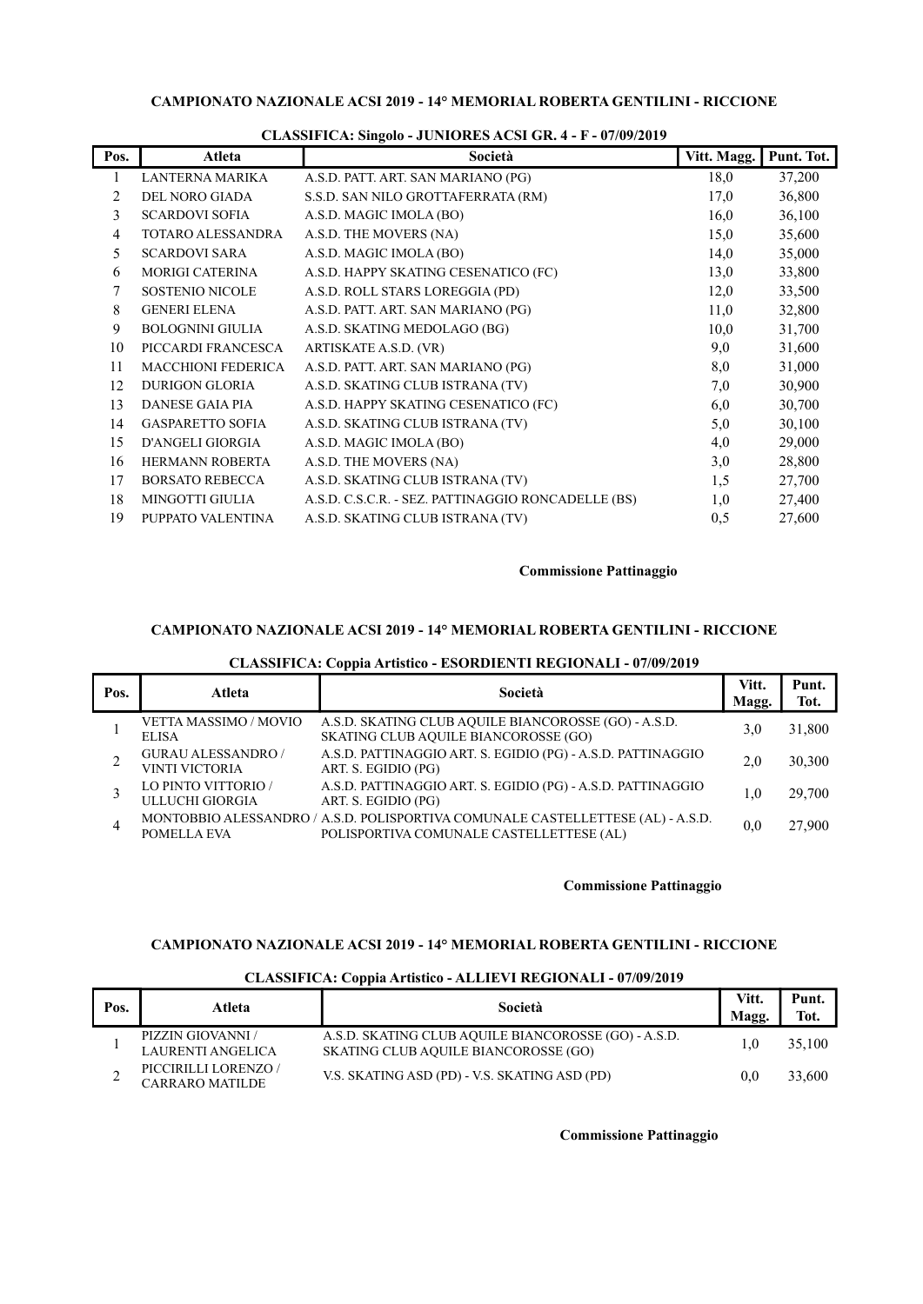| Pos. | Atleta                    | Società                                            | Vitt. Magg. | Punt. Tot. |
|------|---------------------------|----------------------------------------------------|-------------|------------|
|      | LANTERNA MARIKA           | A.S.D. PATT. ART. SAN MARIANO (PG)                 | 18,0        | 37,200     |
| 2    | DEL NORO GIADA            | S.S.D. SAN NILO GROTTAFERRATA (RM)                 | 17,0        | 36,800     |
| 3    | <b>SCARDOVI SOFIA</b>     | A.S.D. MAGIC IMOLA (BO)                            | 16,0        | 36,100     |
| 4    | TOTARO ALESSANDRA         | A.S.D. THE MOVERS (NA)                             | 15,0        | 35,600     |
| 5    | <b>SCARDOVI SARA</b>      | A.S.D. MAGIC IMOLA (BO)                            | 14,0        | 35,000     |
| 6    | <b>MORIGI CATERINA</b>    | A.S.D. HAPPY SKATING CESENATICO (FC)               | 13,0        | 33,800     |
| 7    | <b>SOSTENIO NICOLE</b>    | A.S.D. ROLL STARS LOREGGIA (PD)                    | 12,0        | 33,500     |
| 8    | <b>GENERI ELENA</b>       | A.S.D. PATT. ART. SAN MARIANO (PG)                 | 11,0        | 32,800     |
| 9    | <b>BOLOGNINI GIULIA</b>   | A.S.D. SKATING MEDOLAGO (BG)                       | 10,0        | 31,700     |
| 10   | PICCARDI FRANCESCA        | ARTISKATE A.S.D. (VR)                              | 9,0         | 31,600     |
| 11   | <b>MACCHIONI FEDERICA</b> | A.S.D. PATT. ART. SAN MARIANO (PG)                 | 8,0         | 31,000     |
| 12   | <b>DURIGON GLORIA</b>     | A.S.D. SKATING CLUB ISTRANA (TV)                   | 7,0         | 30,900     |
| 13   | <b>DANESE GAIA PIA</b>    | A.S.D. HAPPY SKATING CESENATICO (FC)               | 6,0         | 30,700     |
| 14   | <b>GASPARETTO SOFIA</b>   | A.S.D. SKATING CLUB ISTRANA (TV)                   | 5,0         | 30,100     |
| 15   | D'ANGELI GIORGIA          | A.S.D. MAGIC IMOLA (BO)                            | 4,0         | 29,000     |
| 16   | <b>HERMANN ROBERTA</b>    | A.S.D. THE MOVERS (NA)                             | 3,0         | 28,800     |
| 17   | <b>BORSATO REBECCA</b>    | A.S.D. SKATING CLUB ISTRANA (TV)                   | 1,5         | 27,700     |
| 18   | MINGOTTI GIULIA           | A.S.D. C.S.C.R. - SEZ. PATTINAGGIO RONCADELLE (BS) | 1,0         | 27,400     |
| 19   | PUPPATO VALENTINA         | A.S.D. SKATING CLUB ISTRANA (TV)                   | 0,5         | 27,600     |

### CLASSIFICA: Singolo - JUNIORES ACSI GR. 4 - F - 07/09/2019

### Commissione Pattinaggio

# CAMPIONATO NAZIONALE ACSI 2019 - 14° MEMORIAL ROBERTA GENTILINI - RICCIONE

## CLASSIFICA: Coppia Artistico - ESORDIENTI REGIONALI - 07/09/2019

| Pos. | Atleta                                       | Società                                                                                                                     | Vitt.<br>Magg. | Punt.<br>Tot. |
|------|----------------------------------------------|-----------------------------------------------------------------------------------------------------------------------------|----------------|---------------|
|      | <b>VETTA MASSIMO / MOVIO</b><br><b>ELISA</b> | A.S.D. SKATING CLUB AQUILE BIANCOROSSE (GO) - A.S.D.<br>SKATING CLUB AQUILE BIANCOROSSE (GO)                                | 3.0            | 31,800        |
|      | <b>GURAU ALESSANDRO /</b><br>VINTI VICTORIA  | A.S.D. PATTINAGGIO ART. S. EGIDIO (PG) - A.S.D. PATTINAGGIO<br>ART. S. EGIDIO (PG)                                          | 2.0            | 30,300        |
|      | LO PINTO VITTORIO /<br>ULLUCHI GIORGIA       | A.S.D. PATTINAGGIO ART. S. EGIDIO (PG) - A.S.D. PATTINAGGIO<br>ART. S. EGIDIO (PG)                                          | 0.1            | 29,700        |
|      | POMELLA EVA                                  | MONTOBBIO ALESSANDRO / A.S.D. POLISPORTIVA COMUNALE CASTELLETTESE (AL) - A.S.D.<br>POLISPORTIVA COMUNALE CASTELLETTESE (AL) | 0.0            | 27,900        |

### Commissione Pattinaggio

## CAMPIONATO NAZIONALE ACSI 2019 - 14° MEMORIAL ROBERTA GENTILINI - RICCIONE

## CLASSIFICA: Coppia Artistico - ALLIEVI REGIONALI - 07/09/2019

| Pos. | Atleta                                         | Società                                                                                      | Vitt.<br>Magg. | Punt.<br>Tot. |
|------|------------------------------------------------|----------------------------------------------------------------------------------------------|----------------|---------------|
|      | PIZZIN GIOVANNI /<br>LAURENTI ANGELICA         | A.S.D. SKATING CLUB AQUILE BIANCOROSSE (GO) - A.S.D.<br>SKATING CLUB AQUILE BIANCOROSSE (GO) |                | 35,100        |
|      | PICCIRILLI LORENZO /<br><b>CARRARO MATILDE</b> | V.S. SKATING ASD (PD) - V.S. SKATING ASD (PD)                                                | 0.0            | 33,600        |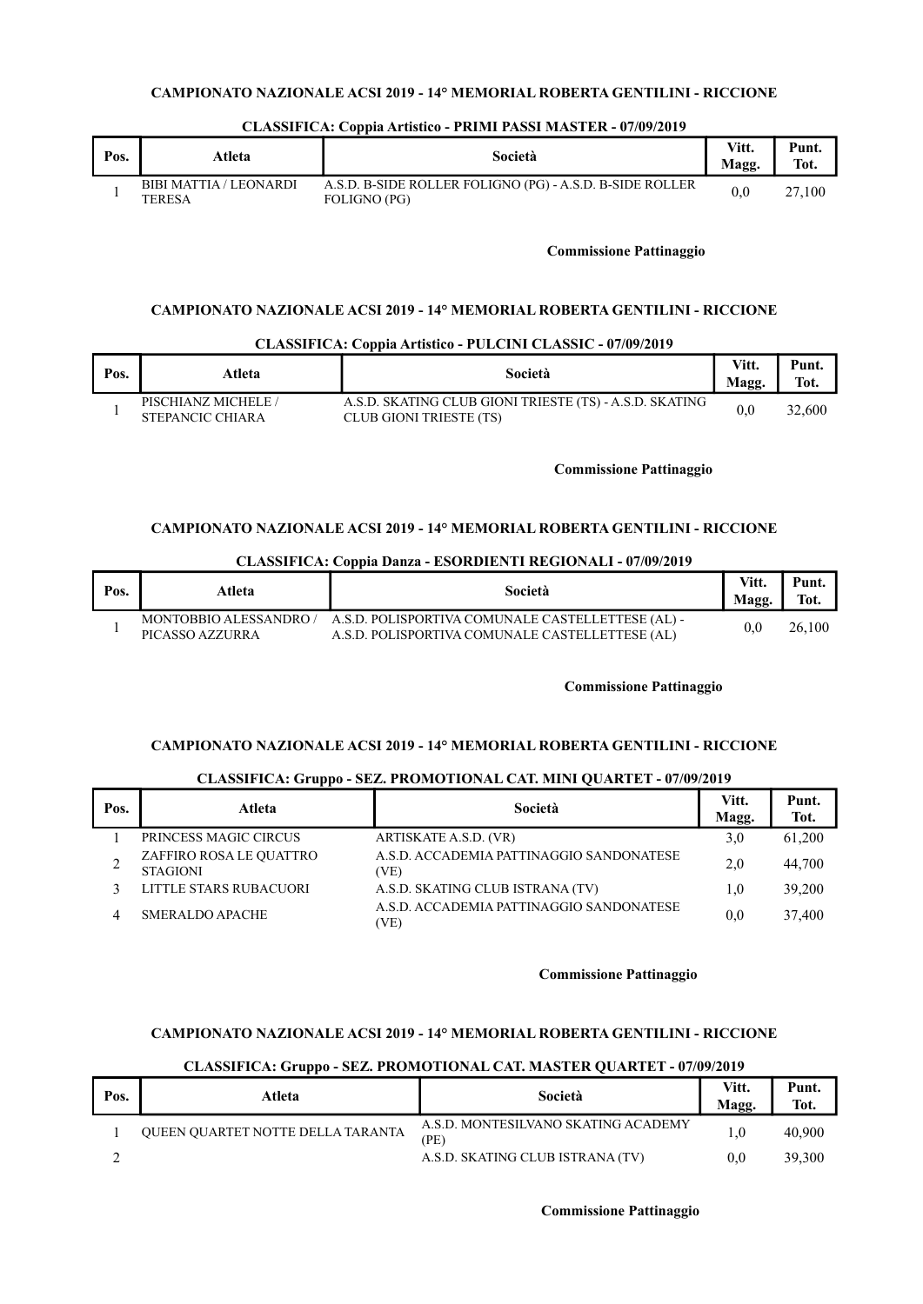| Pos. | Atleta                                  | Società                                                                  | Vitt.<br>Magg. | Punt.<br>Tot. |
|------|-----------------------------------------|--------------------------------------------------------------------------|----------------|---------------|
|      | <b>BIBI MATTIA / LEONARDI</b><br>TERESA | A.S.D. B-SIDE ROLLER FOLIGNO (PG) - A.S.D. B-SIDE ROLLER<br>FOLIGNO (PG) | $0.0\,$        | 27,100        |

### CLASSIFICA: Coppia Artistico - PRIMI PASSI MASTER - 07/09/2019

### Commissione Pattinaggio

## CAMPIONATO NAZIONALE ACSI 2019 - 14° MEMORIAL ROBERTA GENTILINI - RICCIONE

#### CLASSIFICA: Coppia Artistico - PULCINI CLASSIC - 07/09/2019

| Pos. | Atleta                                  | Società                                                                                   | Vitt.<br>Magg. | Punt<br>Tot. |
|------|-----------------------------------------|-------------------------------------------------------------------------------------------|----------------|--------------|
|      | PISCHIANZ MICHELE /<br>STEPANCIC CHIARA | A.S.D. SKATING CLUB GIONI TRIESTE (TS) - A.S.D. SKATING<br><b>CLUB GIONI TRIESTE (TS)</b> | $0.0\,$        | 32,600       |

#### Commissione Pattinaggio

## CAMPIONATO NAZIONALE ACSI 2019 - 14° MEMORIAL ROBERTA GENTILINI - RICCIONE

### CLASSIFICA: Coppia Danza - ESORDIENTI REGIONALI - 07/09/2019

| Pos. | Atleta                                    | Società                                                                                              | Vitt.<br>Magg. | Punt<br>Tot. |
|------|-------------------------------------------|------------------------------------------------------------------------------------------------------|----------------|--------------|
|      | MONTOBBIO ALESSANDRO /<br>PICASSO AZZURRA | A.S.D. POLISPORTIVA COMUNALE CASTELLETTESE (AL) -<br>A.S.D. POLISPORTIVA COMUNALE CASTELLETTESE (AL) | 0.0            | 26.100       |

#### Commissione Pattinaggio

## CAMPIONATO NAZIONALE ACSI 2019 - 14° MEMORIAL ROBERTA GENTILINI - RICCIONE

### CLASSIFICA: Gruppo - SEZ. PROMOTIONAL CAT. MINI QUARTET - 07/09/2019

| Pos. | Atleta                                     | Società                                          | Vitt.<br>Magg. | Punt.<br>Tot. |
|------|--------------------------------------------|--------------------------------------------------|----------------|---------------|
|      | PRINCESS MAGIC CIRCUS                      | ARTISKATE A.S.D. (VR)                            | 3,0            | 61,200        |
|      | ZAFFIRO ROSA LE QUATTRO<br><b>STAGIONI</b> | A.S.D. ACCADEMIA PATTINAGGIO SANDONATESE<br>(VE) | 2.0            | 44,700        |
|      | LITTLE STARS RUBACUORI                     | A.S.D. SKATING CLUB ISTRANA (TV)                 | $1.0\,$        | 39,200        |
|      | SMERALDO APACHE                            | A.S.D. ACCADEMIA PATTINAGGIO SANDONATESE<br>(VE) | 0.0            | 37,400        |

#### Commissione Pattinaggio

## CAMPIONATO NAZIONALE ACSI 2019 - 14° MEMORIAL ROBERTA GENTILINI - RICCIONE

### CLASSIFICA: Gruppo - SEZ. PROMOTIONAL CAT. MASTER QUARTET - 07/09/2019

| Pos. | Atleta                                   | Società                                     | Vitt.<br>Magg. | Punt.<br>Tot. |
|------|------------------------------------------|---------------------------------------------|----------------|---------------|
|      | <b>OUEEN QUARTET NOTTE DELLA TARANTA</b> | A.S.D. MONTESILVANO SKATING ACADEMY<br>(PE) |                | 40,900        |
|      |                                          | A.S.D. SKATING CLUB ISTRANA (TV)            | 0.0            | 39.300        |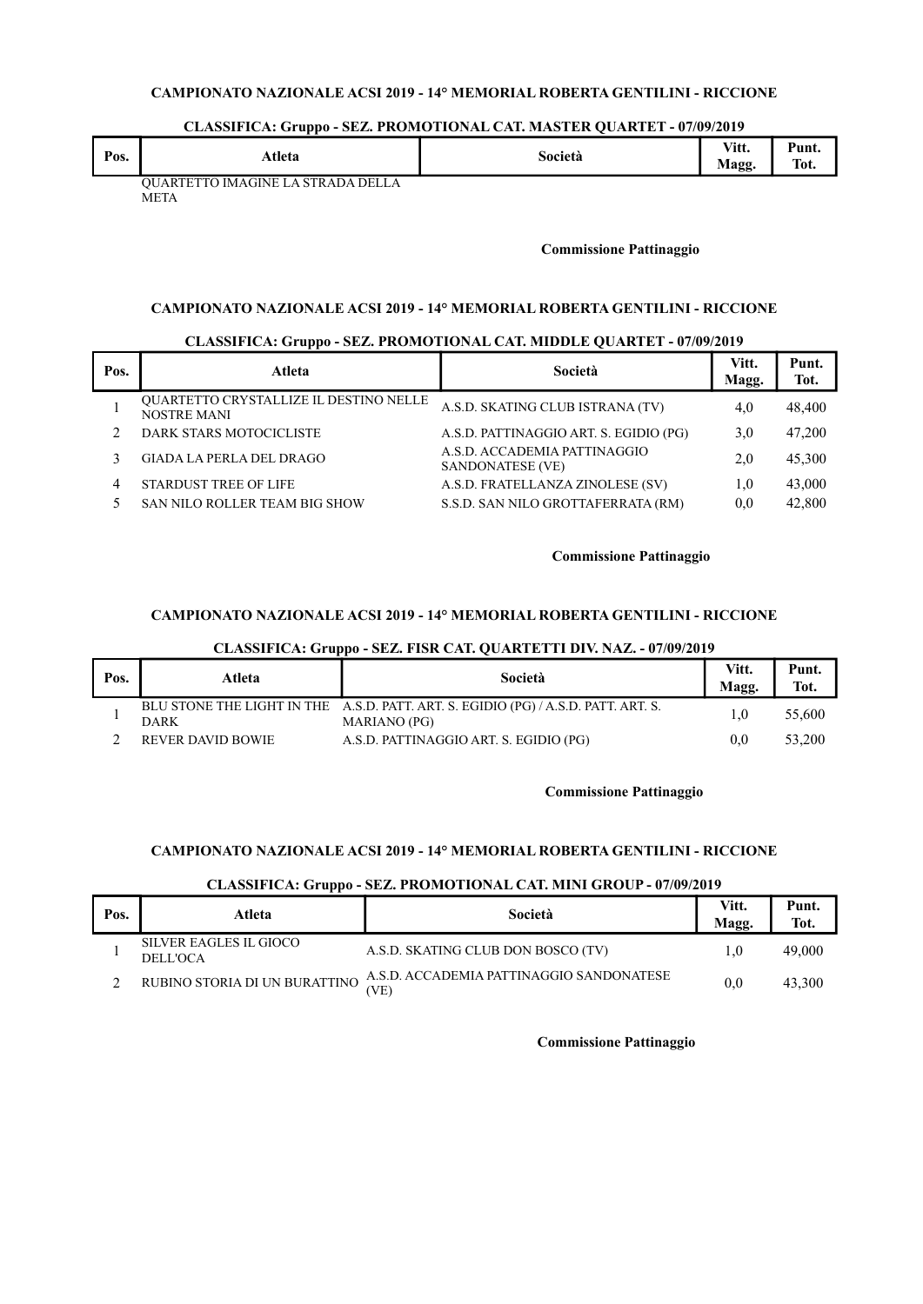### CLASSIFICA: Gruppo - SEZ. PROMOTIONAL CAT. MASTER QUARTET - 07/09/2019

| Pos. | Atleta                                       | Società | Vitt.<br><b>Magg.</b> | $p$ unt.<br>Tot. |
|------|----------------------------------------------|---------|-----------------------|------------------|
|      | IMAGINE LA STRADA DELLA<br>TTTC<br>∩∐<br>ART |         |                       |                  |

META

### Commissione Pattinaggio

## CAMPIONATO NAZIONALE ACSI 2019 - 14° MEMORIAL ROBERTA GENTILINI - RICCIONE

## CLASSIFICA: Gruppo - SEZ. PROMOTIONAL CAT. MIDDLE QUARTET - 07/09/2019

| Pos. | Atleta                                                | Società                                          | Vitt.<br>Magg. | Punt.<br>Tot. |
|------|-------------------------------------------------------|--------------------------------------------------|----------------|---------------|
|      | QUARTETTO CRYSTALLIZE IL DESTINO NELLE<br>NOSTRE MANI | A.S.D. SKATING CLUB ISTRANA (TV)                 | 4.0            | 48,400        |
|      | DARK STARS MOTOCICLISTE                               | A.S.D. PATTINAGGIO ART. S. EGIDIO (PG)           | 3.0            | 47,200        |
|      | GIADA LA PERLA DEL DRAGO                              | A.S.D. ACCADEMIA PATTINAGGIO<br>SANDONATESE (VE) | 2.0            | 45,300        |
|      | <b>STARDUST TREE OF LIFE</b>                          | A.S.D. FRATELLANZA ZINOLESE (SV)                 | 1.0            | 43,000        |
|      | <b>SAN NILO ROLLER TEAM BIG SHOW</b>                  | S.S.D. SAN NILO GROTTAFERRATA (RM)               | 0.0            | 42,800        |

#### Commissione Pattinaggio

### CAMPIONATO NAZIONALE ACSI 2019 - 14° MEMORIAL ROBERTA GENTILINI - RICCIONE

## CLASSIFICA: Gruppo - SEZ. FISR CAT. QUARTETTI DIV. NAZ. - 07/09/2019

| Pos. | Atleta                   | Società                                                                                                   | Vitt.<br>Magg. | Punt.<br>Tot. |
|------|--------------------------|-----------------------------------------------------------------------------------------------------------|----------------|---------------|
|      | <b>DARK</b>              | BLU STONE THE LIGHT IN THE A.S.D. PATT. ART. S. EGIDIO (PG) / A.S.D. PATT. ART. S.<br><b>MARIANO</b> (PG) |                | 55,600        |
|      | <b>REVER DAVID BOWIE</b> | A.S.D. PATTINAGGIO ART. S. EGIDIO (PG)                                                                    | 0.0            | 53,200        |

### Commissione Pattinaggio

## CAMPIONATO NAZIONALE ACSI 2019 - 14° MEMORIAL ROBERTA GENTILINI - RICCIONE

### CLASSIFICA: Gruppo - SEZ. PROMOTIONAL CAT. MINI GROUP - 07/09/2019

| Pos. | Atleta                             | Società                                          | Vitt.<br>Magg. | Punt.<br>Tot. |
|------|------------------------------------|--------------------------------------------------|----------------|---------------|
|      | SILVER EAGLES IL GIOCO<br>DELL'OCA | A.S.D. SKATING CLUB DON BOSCO (TV)               | 1.0            | 49,000        |
|      | RUBINO STORIA DI UN BURATTINO      | A.S.D. ACCADEMIA PATTINAGGIO SANDONATESE<br>'VE) | 0.0            | 43,300        |